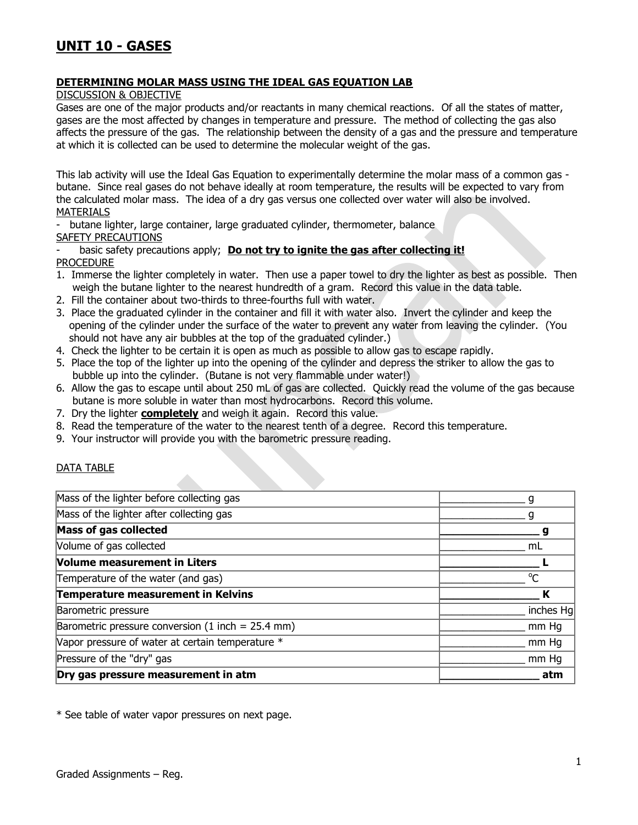## **DETERMINING MOLAR MASS USING THE IDEAL GAS EQUATION LAB**

DISCUSSION & OBJECTIVE

Gases are one of the major products and/or reactants in many chemical reactions. Of all the states of matter, gases are the most affected by changes in temperature and pressure. The method of collecting the gas also affects the pressure of the gas. The relationship between the density of a gas and the pressure and temperature at which it is collected can be used to determine the molecular weight of the gas.

This lab activity will use the Ideal Gas Equation to experimentally determine the molar mass of a common gas butane. Since real gases do not behave ideally at room temperature, the results will be expected to vary from the calculated molar mass. The idea of a dry gas versus one collected over water will also be involved. MATERIALS

- butane lighter, large container, large graduated cylinder, thermometer, balance

SAFETY PRECAUTIONS

basic safety precautions apply; **Do not try to ignite the gas after collecting it!** PROCEDURE

- 1. Immerse the lighter completely in water. Then use a paper towel to dry the lighter as best as possible. Then weigh the butane lighter to the nearest hundredth of a gram. Record this value in the data table.
- 2. Fill the container about two-thirds to three-fourths full with water.
- 3. Place the graduated cylinder in the container and fill it with water also. Invert the cylinder and keep the opening of the cylinder under the surface of the water to prevent any water from leaving the cylinder. (You should not have any air bubbles at the top of the graduated cylinder.)
- 4. Check the lighter to be certain it is open as much as possible to allow gas to escape rapidly.
- 5. Place the top of the lighter up into the opening of the cylinder and depress the striker to allow the gas to bubble up into the cylinder. (Butane is not very flammable under water!)
- 6. Allow the gas to escape until about 250 mL of gas are collected. Quickly read the volume of the gas because butane is more soluble in water than most hydrocarbons. Record this volume.
- 7. Dry the lighter **completely** and weigh it again. Record this value.
- 8. Read the temperature of the water to the nearest tenth of a degree. Record this temperature.
- 9. Your instructor will provide you with the barometric pressure reading.

## DATA TABLE

| Dry gas pressure measurement in atm                 | atm         |
|-----------------------------------------------------|-------------|
| Pressure of the "dry" gas                           | mm Hq       |
| Vapor pressure of water at certain temperature *    | mm Hg       |
| Barometric pressure conversion $(1$ inch = 25.4 mm) | mm Hq       |
| Barometric pressure                                 | inches Hg   |
| Temperature measurement in Kelvins                  | К           |
| Temperature of the water (and gas)                  | $^{\circ}C$ |
| <b>Volume measurement in Liters</b>                 |             |
| Volume of gas collected                             | mL          |
| Mass of gas collected                               |             |
| Mass of the lighter after collecting gas            |             |
| Mass of the lighter before collecting gas           |             |

\* See table of water vapor pressures on next page.